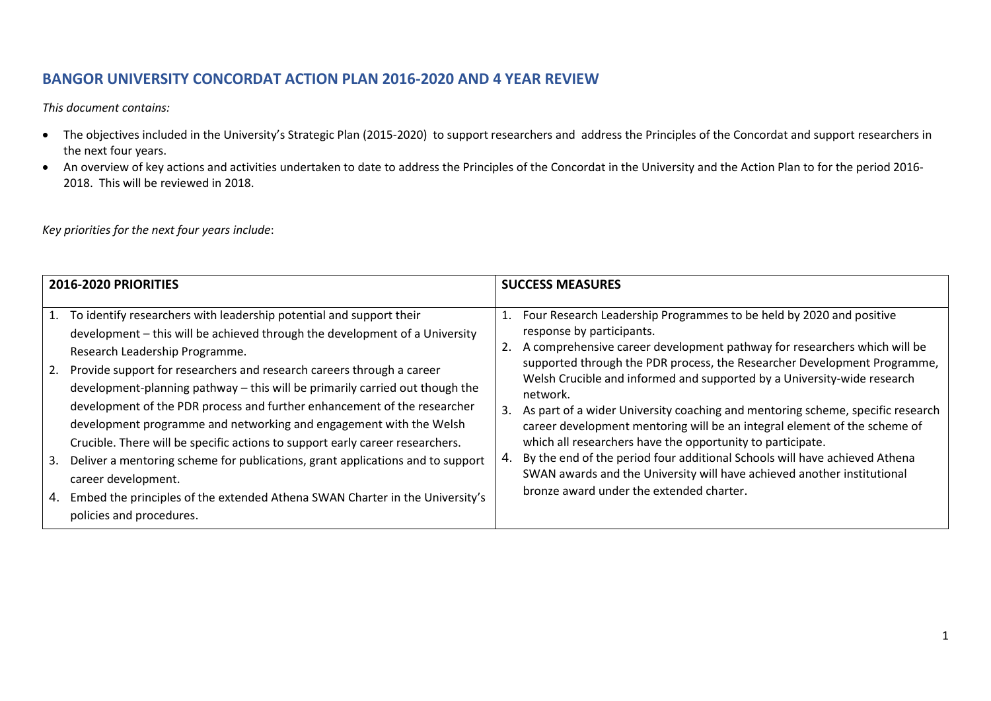# **BANGOR UNIVERSITY CONCORDAT ACTION PLAN 2016-2020 AND 4 YEAR REVIEW**

*This document contains:*

- The objectives included in the University's Strategic Plan (2015-2020) to support researchers and address the Principles of the Concordat and support researchers in the next four years.
- An overview of key actions and activities undertaken to date to address the Principles of the Concordat in the University and the Action Plan to for the period 2016- 2018. This will be reviewed in 2018.

*Key priorities for the next four years include*:

|    | <b>2016-2020 PRIORITIES</b>                                                                                                                                                                                                                                                                                                                                                                                                                                                                                                                                                                                                                                                                        | <b>SUCCESS MEASURES</b> |                                                                                                                                                                                                                                                                                                                                                                                                                                                                                                                                                                                                                                                                                                                                                                                   |  |  |
|----|----------------------------------------------------------------------------------------------------------------------------------------------------------------------------------------------------------------------------------------------------------------------------------------------------------------------------------------------------------------------------------------------------------------------------------------------------------------------------------------------------------------------------------------------------------------------------------------------------------------------------------------------------------------------------------------------------|-------------------------|-----------------------------------------------------------------------------------------------------------------------------------------------------------------------------------------------------------------------------------------------------------------------------------------------------------------------------------------------------------------------------------------------------------------------------------------------------------------------------------------------------------------------------------------------------------------------------------------------------------------------------------------------------------------------------------------------------------------------------------------------------------------------------------|--|--|
|    | 1. To identify researchers with leadership potential and support their<br>development – this will be achieved through the development of a University<br>Research Leadership Programme.<br>2. Provide support for researchers and research careers through a career<br>development-planning pathway - this will be primarily carried out though the<br>development of the PDR process and further enhancement of the researcher<br>development programme and networking and engagement with the Welsh<br>Crucible. There will be specific actions to support early career researchers.<br>3. Deliver a mentoring scheme for publications, grant applications and to support<br>career development. | 2.<br>3.<br>4.          | Four Research Leadership Programmes to be held by 2020 and positive<br>response by participants.<br>A comprehensive career development pathway for researchers which will be<br>supported through the PDR process, the Researcher Development Programme,<br>Welsh Crucible and informed and supported by a University-wide research<br>network.<br>As part of a wider University coaching and mentoring scheme, specific research<br>career development mentoring will be an integral element of the scheme of<br>which all researchers have the opportunity to participate.<br>By the end of the period four additional Schools will have achieved Athena<br>SWAN awards and the University will have achieved another institutional<br>bronze award under the extended charter. |  |  |
| 4. | Embed the principles of the extended Athena SWAN Charter in the University's<br>policies and procedures.                                                                                                                                                                                                                                                                                                                                                                                                                                                                                                                                                                                           |                         |                                                                                                                                                                                                                                                                                                                                                                                                                                                                                                                                                                                                                                                                                                                                                                                   |  |  |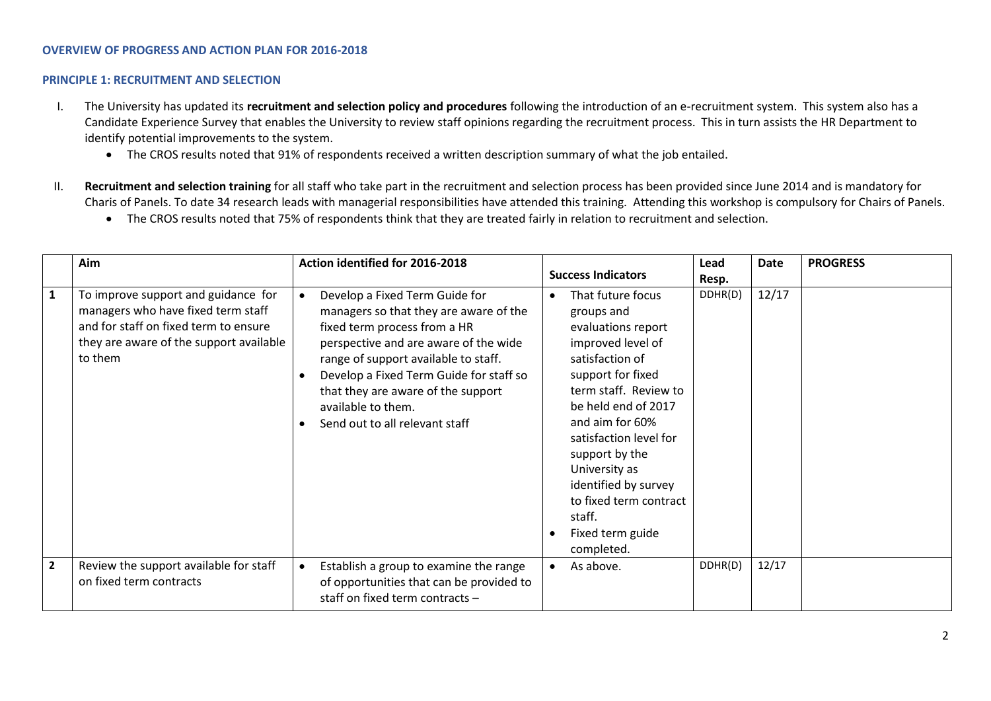## **OVERVIEW OF PROGRESS AND ACTION PLAN FOR 2016-2018**

#### **PRINCIPLE 1: RECRUITMENT AND SELECTION**

- I. The University has updated its **recruitment and selection policy and procedures** following the introduction of an e-recruitment system. This system also has a Candidate Experience Survey that enables the University to review staff opinions regarding the recruitment process. This in turn assists the HR Department to identify potential improvements to the system.
	- The CROS results noted that 91% of respondents received a written description summary of what the job entailed.
- II. **Recruitment and selection training** for all staff who take part in the recruitment and selection process has been provided since June 2014 and is mandatory for Charis of Panels. To date 34 research leads with managerial responsibilities have attended this training. Attending this workshop is compulsory for Chairs of Panels.
	- The CROS results noted that 75% of respondents think that they are treated fairly in relation to recruitment and selection.

|                | Aim                                                                                                                                                                      | Action identified for 2016-2018                                                                                                                                                                                                                                                                                                    | <b>Success Indicators</b>                                                                                                                                                                                                                                                                                                                        | Lead             | Date  | <b>PROGRESS</b> |
|----------------|--------------------------------------------------------------------------------------------------------------------------------------------------------------------------|------------------------------------------------------------------------------------------------------------------------------------------------------------------------------------------------------------------------------------------------------------------------------------------------------------------------------------|--------------------------------------------------------------------------------------------------------------------------------------------------------------------------------------------------------------------------------------------------------------------------------------------------------------------------------------------------|------------------|-------|-----------------|
| $\mathbf{1}$   | To improve support and guidance for<br>managers who have fixed term staff<br>and for staff on fixed term to ensure<br>they are aware of the support available<br>to them | Develop a Fixed Term Guide for<br>managers so that they are aware of the<br>fixed term process from a HR<br>perspective and are aware of the wide<br>range of support available to staff.<br>Develop a Fixed Term Guide for staff so<br>that they are aware of the support<br>available to them.<br>Send out to all relevant staff | That future focus<br>groups and<br>evaluations report<br>improved level of<br>satisfaction of<br>support for fixed<br>term staff. Review to<br>be held end of 2017<br>and aim for 60%<br>satisfaction level for<br>support by the<br>University as<br>identified by survey<br>to fixed term contract<br>staff.<br>Fixed term guide<br>completed. | Resp.<br>DDHR(D) | 12/17 |                 |
| $\overline{2}$ | Review the support available for staff<br>on fixed term contracts                                                                                                        | Establish a group to examine the range<br>$\bullet$<br>of opportunities that can be provided to<br>staff on fixed term contracts -                                                                                                                                                                                                 | As above.                                                                                                                                                                                                                                                                                                                                        | DDHR(D)          | 12/17 |                 |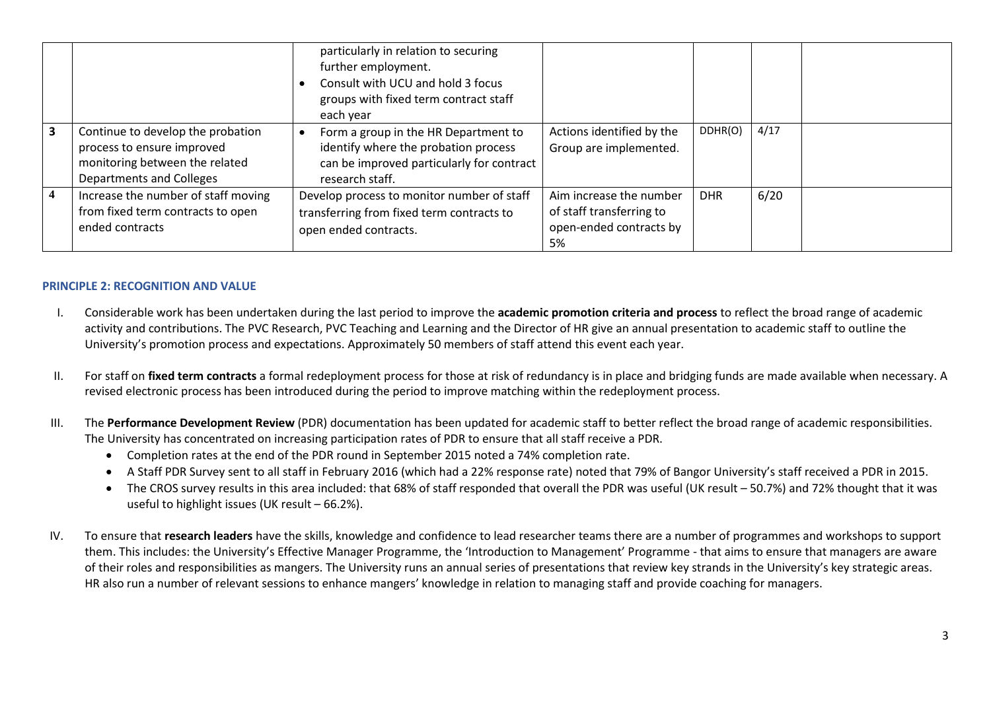|                         |                                                                                                                               | particularly in relation to securing<br>further employment.<br>Consult with UCU and hold 3 focus<br>groups with fixed term contract staff<br>each year |                                                                                      |            |      |  |
|-------------------------|-------------------------------------------------------------------------------------------------------------------------------|--------------------------------------------------------------------------------------------------------------------------------------------------------|--------------------------------------------------------------------------------------|------------|------|--|
| $\overline{\mathbf{3}}$ | Continue to develop the probation<br>process to ensure improved<br>monitoring between the related<br>Departments and Colleges | Form a group in the HR Department to<br>identify where the probation process<br>can be improved particularly for contract<br>research staff.           | Actions identified by the<br>Group are implemented.                                  | DDHR(O)    | 4/17 |  |
| $\overline{4}$          | Increase the number of staff moving<br>from fixed term contracts to open<br>ended contracts                                   | Develop process to monitor number of staff<br>transferring from fixed term contracts to<br>open ended contracts.                                       | Aim increase the number<br>of staff transferring to<br>open-ended contracts by<br>5% | <b>DHR</b> | 6/20 |  |

## **PRINCIPLE 2: RECOGNITION AND VALUE**

- I. Considerable work has been undertaken during the last period to improve the **academic promotion criteria and process** to reflect the broad range of academic activity and contributions. The PVC Research, PVC Teaching and Learning and the Director of HR give an annual presentation to academic staff to outline the University's promotion process and expectations. Approximately 50 members of staff attend this event each year.
- II. For staff on **fixed term contracts** a formal redeployment process for those at risk of redundancy is in place and bridging funds are made available when necessary. A revised electronic process has been introduced during the period to improve matching within the redeployment process.
- III. The **Performance Development Review** (PDR) documentation has been updated for academic staff to better reflect the broad range of academic responsibilities. The University has concentrated on increasing participation rates of PDR to ensure that all staff receive a PDR.
	- Completion rates at the end of the PDR round in September 2015 noted a 74% completion rate.
	- A Staff PDR Survey sent to all staff in February 2016 (which had a 22% response rate) noted that 79% of Bangor University's staff received a PDR in 2015.
	- The CROS survey results in this area included: that 68% of staff responded that overall the PDR was useful (UK result 50.7%) and 72% thought that it was useful to highlight issues (UK result – 66.2%).
- IV. To ensure that **research leaders** have the skills, knowledge and confidence to lead researcher teams there are a number of programmes and workshops to support them. This includes: the University's Effective Manager Programme, the 'Introduction to Management' Programme - that aims to ensure that managers are aware of their roles and responsibilities as mangers. The University runs an annual series of presentations that review key strands in the University's key strategic areas. HR also run a number of relevant sessions to enhance mangers' knowledge in relation to managing staff and provide coaching for managers.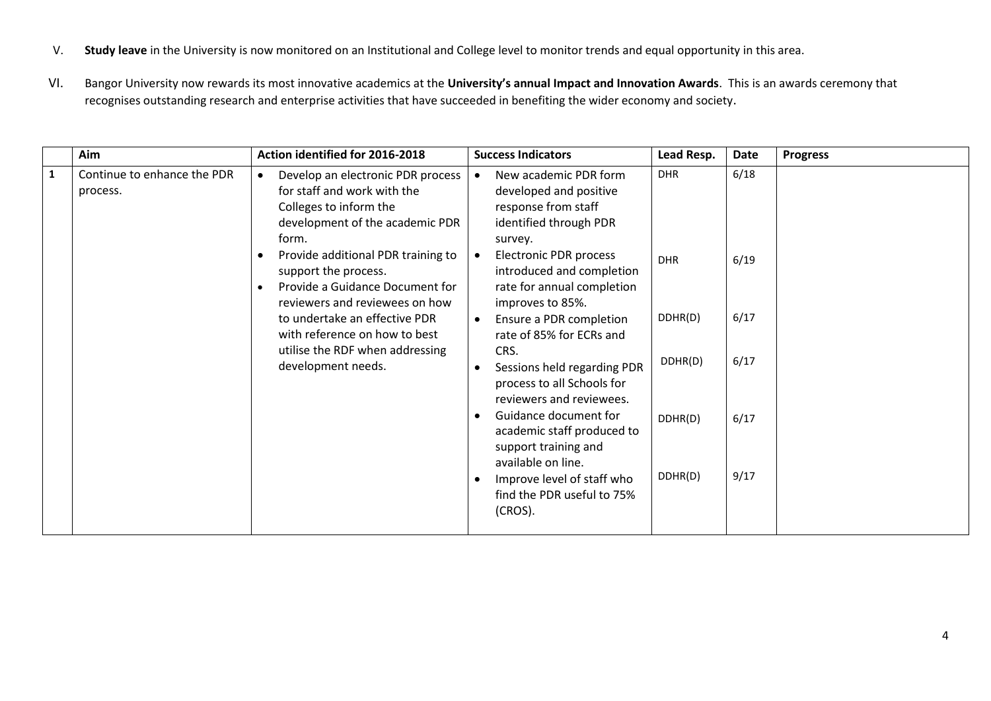- V. **Study leave** in the University is now monitored on an Institutional and College level to monitor trends and equal opportunity in this area.
- VI. Bangor University now rewards its most innovative academics at the **University's annual Impact and Innovation Awards**. This is an awards ceremony that recognises outstanding research and enterprise activities that have succeeded in benefiting the wider economy and society.

|              | Aim                                     | Action identified for 2016-2018                                                                                                                           | <b>Success Indicators</b>                                                                                   | Lead Resp. | <b>Date</b> | <b>Progress</b> |
|--------------|-----------------------------------------|-----------------------------------------------------------------------------------------------------------------------------------------------------------|-------------------------------------------------------------------------------------------------------------|------------|-------------|-----------------|
| $\mathbf{1}$ | Continue to enhance the PDR<br>process. | Develop an electronic PDR process<br>$\bullet$<br>for staff and work with the<br>Colleges to inform the<br>development of the academic PDR<br>form.       | New academic PDR form<br>developed and positive<br>response from staff<br>identified through PDR<br>survey. | <b>DHR</b> | 6/18        |                 |
|              |                                         | Provide additional PDR training to<br>$\bullet$<br>support the process.<br>Provide a Guidance Document for<br>$\bullet$<br>reviewers and reviewees on how | Electronic PDR process<br>introduced and completion<br>rate for annual completion<br>improves to 85%.       | <b>DHR</b> | 6/19        |                 |
|              |                                         | to undertake an effective PDR<br>with reference on how to best                                                                                            | Ensure a PDR completion<br>rate of 85% for ECRs and                                                         | DDHR(D)    | 6/17        |                 |
|              |                                         | utilise the RDF when addressing<br>development needs.                                                                                                     | CRS.<br>Sessions held regarding PDR<br>process to all Schools for<br>reviewers and reviewees.               | DDHR(D)    | 6/17        |                 |
|              |                                         |                                                                                                                                                           | Guidance document for<br>academic staff produced to<br>support training and<br>available on line.           | DDHR(D)    | 6/17        |                 |
|              |                                         |                                                                                                                                                           | Improve level of staff who<br>find the PDR useful to 75%<br>(CROS).                                         | DDHR(D)    | 9/17        |                 |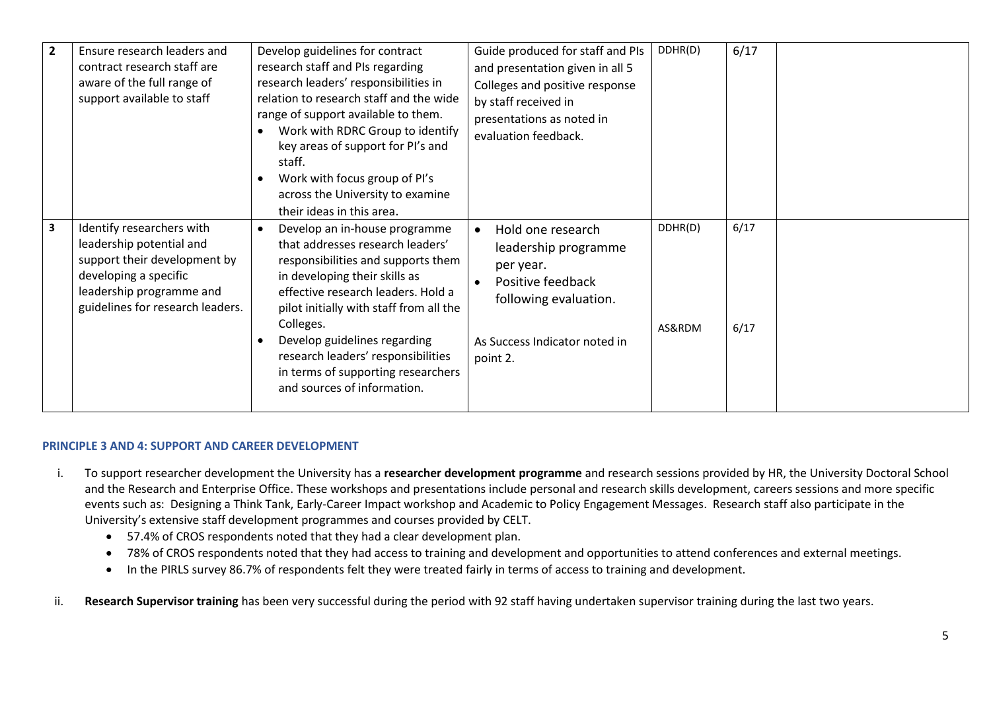| $\overline{2}$          | Ensure research leaders and<br>contract research staff are<br>aware of the full range of<br>support available to staff                                                         | Develop guidelines for contract<br>research staff and PIs regarding<br>research leaders' responsibilities in<br>relation to research staff and the wide<br>range of support available to them.<br>Work with RDRC Group to identify<br>$\bullet$<br>key areas of support for PI's and<br>staff.<br>Work with focus group of PI's<br>$\bullet$<br>across the University to examine<br>their ideas in this area. | Guide produced for staff and PIs<br>and presentation given in all 5<br>Colleges and positive response<br>by staff received in<br>presentations as noted in<br>evaluation feedback. | DDHR(D)           | 6/17         |
|-------------------------|--------------------------------------------------------------------------------------------------------------------------------------------------------------------------------|---------------------------------------------------------------------------------------------------------------------------------------------------------------------------------------------------------------------------------------------------------------------------------------------------------------------------------------------------------------------------------------------------------------|------------------------------------------------------------------------------------------------------------------------------------------------------------------------------------|-------------------|--------------|
| $\overline{\mathbf{3}}$ | Identify researchers with<br>leadership potential and<br>support their development by<br>developing a specific<br>leadership programme and<br>guidelines for research leaders. | Develop an in-house programme<br>$\bullet$<br>that addresses research leaders'<br>responsibilities and supports them<br>in developing their skills as<br>effective research leaders. Hold a<br>pilot initially with staff from all the<br>Colleges.<br>Develop guidelines regarding<br>$\bullet$<br>research leaders' responsibilities<br>in terms of supporting researchers<br>and sources of information.   | Hold one research<br>leadership programme<br>per year.<br>Positive feedback<br>following evaluation.<br>As Success Indicator noted in<br>point 2.                                  | DDHR(D)<br>AS&RDM | 6/17<br>6/17 |

## **PRINCIPLE 3 AND 4: SUPPORT AND CAREER DEVELOPMENT**

- i. To support researcher development the University has a **researcher development programme** and research sessions provided by HR, the University Doctoral School and the Research and Enterprise Office. These workshops and presentations include personal and research skills development, careers sessions and more specific events such as: Designing a Think Tank, Early-Career Impact workshop and Academic to Policy Engagement Messages. Research staff also participate in the University's extensive staff development programmes and courses provided by CELT.
	- 57.4% of CROS respondents noted that they had a clear development plan.
	- 78% of CROS respondents noted that they had access to training and development and opportunities to attend conferences and external meetings.
	- In the PIRLS survey 86.7% of respondents felt they were treated fairly in terms of access to training and development.
- ii. **Research Supervisor training** has been very successful during the period with 92 staff having undertaken supervisor training during the last two years.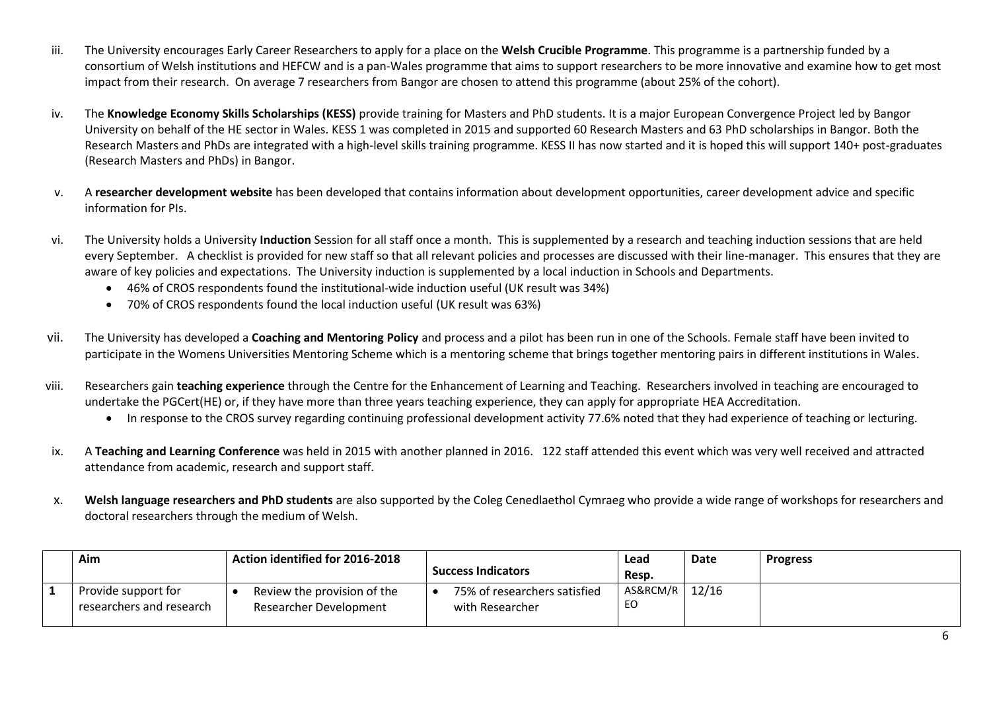- iii. The University encourages Early Career Researchers to apply for a place on the **Welsh Crucible Programme**. This programme is a partnership funded by a consortium of Welsh institutions and HEFCW and is a pan-Wales programme that aims to support researchers to be more innovative and examine how to get most impact from their research. On average 7 researchers from Bangor are chosen to attend this programme (about 25% of the cohort).
- iv. The **Knowledge Economy Skills Scholarships (KESS)** provide training for Masters and PhD students. It is a major European Convergence Project led by Bangor University on behalf of the HE sector in Wales. KESS 1 was completed in 2015 and supported 60 Research Masters and 63 PhD scholarships in Bangor. Both the Research Masters and PhDs are integrated with a high-level skills training programme. KESS II has now started and it is hoped this will support 140+ post-graduates (Research Masters and PhDs) in Bangor.
- v. A **researcher development website** has been developed that contains information about development opportunities, career development advice and specific information for PIs.
- vi. The University holds a University **Induction** Session for all staff once a month. This is supplemented by a research and teaching induction sessions that are held every September. A checklist is provided for new staff so that all relevant policies and processes are discussed with their line-manager. This ensures that they are aware of key policies and expectations. The University induction is supplemented by a local induction in Schools and Departments.
	- 46% of CROS respondents found the institutional-wide induction useful (UK result was 34%)
	- 70% of CROS respondents found the local induction useful (UK result was 63%)
- vii. The University has developed a **Coaching and Mentoring Policy** and process and a pilot has been run in one of the Schools. Female staff have been invited to participate in the Womens Universities Mentoring Scheme which is a mentoring scheme that brings together mentoring pairs in different institutions in Wales.
- viii. Researchers gain **teaching experience** through the Centre for the Enhancement of Learning and Teaching. Researchers involved in teaching are encouraged to undertake the PGCert(HE) or, if they have more than three years teaching experience, they can apply for appropriate HEA Accreditation.
	- In response to the CROS survey regarding continuing professional development activity 77.6% noted that they had experience of teaching or lecturing.
- ix. A **Teaching and Learning Conference** was held in 2015 with another planned in 2016. 122 staff attended this event which was very well received and attracted attendance from academic, research and support staff.
- x. **Welsh language researchers and PhD students** are also supported by the Coleg Cenedlaethol Cymraeg who provide a wide range of workshops for researchers and doctoral researchers through the medium of Welsh.

| Aim                                             | Action identified for 2016-2018                       | <b>Success Indicators</b>                       | Lead<br>Resp.          | Date | <b>Progress</b> |
|-------------------------------------------------|-------------------------------------------------------|-------------------------------------------------|------------------------|------|-----------------|
| Provide support for<br>researchers and research | Review the provision of the<br>Researcher Development | 75% of researchers satisfied<br>with Researcher | AS&RCM/R   12/16<br>EO |      |                 |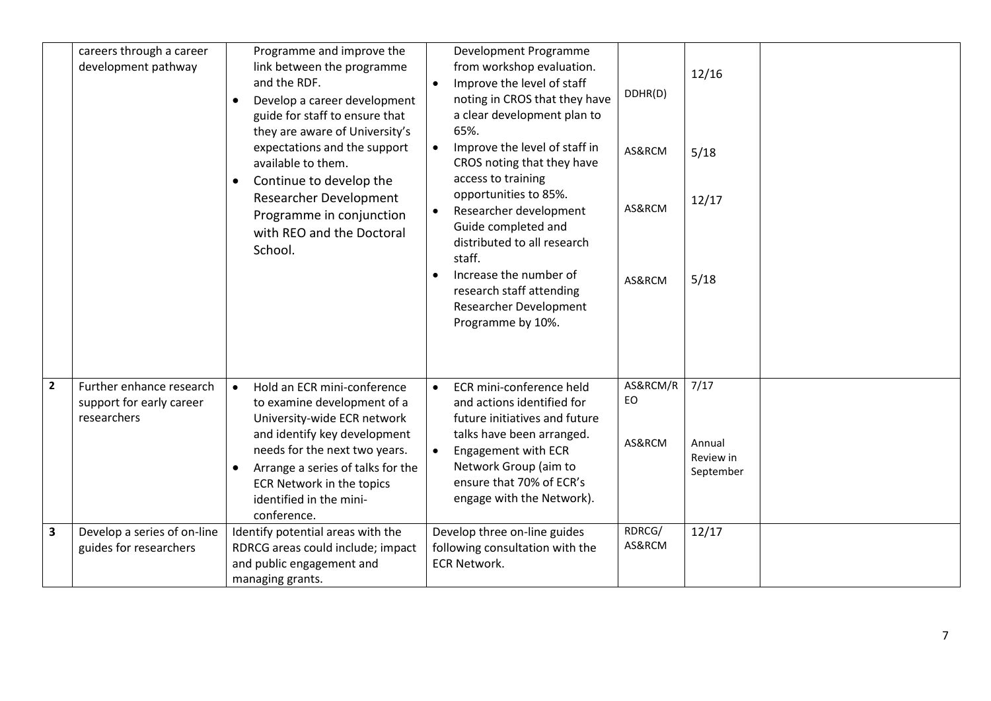|                         | careers through a career<br>development pathway                     | Programme and improve the<br>link between the programme<br>and the RDF.<br>Develop a career development<br>$\bullet$<br>guide for staff to ensure that<br>they are aware of University's<br>expectations and the support<br>available to them.<br>Continue to develop the<br>$\bullet$<br>Researcher Development<br>Programme in conjunction<br>with REO and the Doctoral<br>School. | $\bullet$ | Development Programme<br>from workshop evaluation.<br>Improve the level of staff<br>noting in CROS that they have<br>a clear development plan to<br>65%.<br>Improve the level of staff in<br>CROS noting that they have<br>access to training<br>opportunities to 85%.<br>Researcher development<br>Guide completed and<br>distributed to all research<br>staff.<br>Increase the number of<br>research staff attending<br><b>Researcher Development</b><br>Programme by 10%. | DDHR(D)<br>AS&RCM<br>AS&RCM<br>AS&RCM | 12/16<br>5/18<br>12/17<br>5/18           |
|-------------------------|---------------------------------------------------------------------|--------------------------------------------------------------------------------------------------------------------------------------------------------------------------------------------------------------------------------------------------------------------------------------------------------------------------------------------------------------------------------------|-----------|------------------------------------------------------------------------------------------------------------------------------------------------------------------------------------------------------------------------------------------------------------------------------------------------------------------------------------------------------------------------------------------------------------------------------------------------------------------------------|---------------------------------------|------------------------------------------|
| $\overline{2}$          | Further enhance research<br>support for early career<br>researchers | Hold an ECR mini-conference<br>$\bullet$<br>to examine development of a<br>University-wide ECR network<br>and identify key development<br>needs for the next two years.<br>Arrange a series of talks for the<br>$\bullet$<br>ECR Network in the topics<br>identified in the mini-<br>conference.                                                                                     | $\bullet$ | ECR mini-conference held<br>and actions identified for<br>future initiatives and future<br>talks have been arranged.<br>Engagement with ECR<br>Network Group (aim to<br>ensure that 70% of ECR's<br>engage with the Network).                                                                                                                                                                                                                                                | AS&RCM/R<br>EO<br>AS&RCM              | 7/17<br>Annual<br>Review in<br>September |
| $\overline{\mathbf{3}}$ | Develop a series of on-line<br>guides for researchers               | Identify potential areas with the<br>RDRCG areas could include; impact<br>and public engagement and<br>managing grants.                                                                                                                                                                                                                                                              |           | Develop three on-line guides<br>following consultation with the<br><b>ECR Network.</b>                                                                                                                                                                                                                                                                                                                                                                                       | RDRCG/<br>AS&RCM                      | 12/17                                    |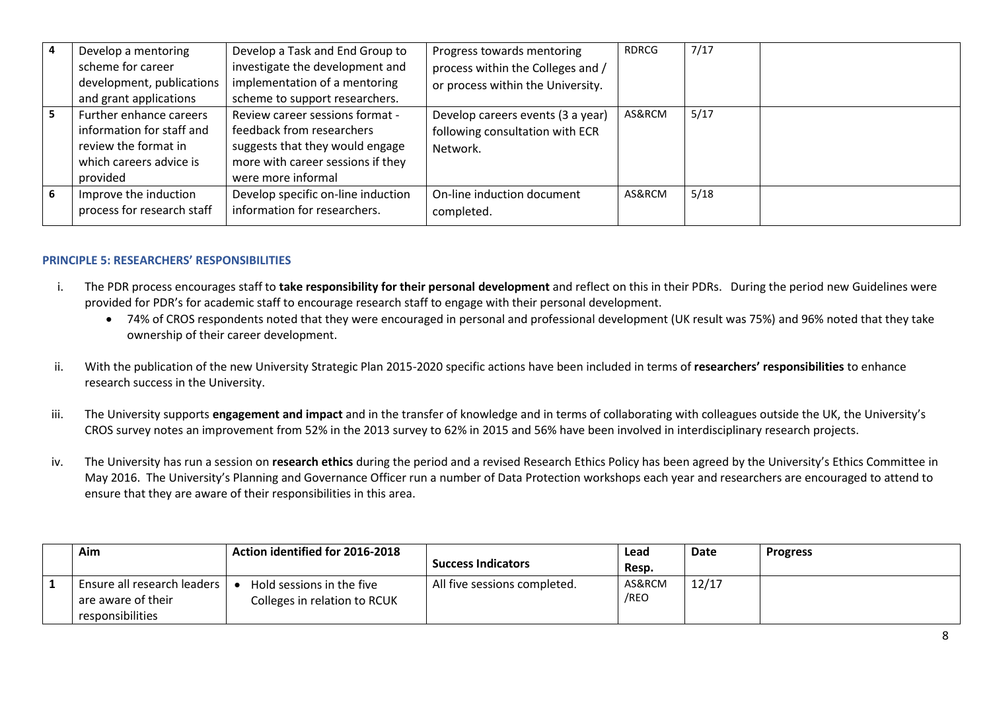| Develop a mentoring<br>scheme for career<br>development, publications                                               | Develop a Task and End Group to<br>investigate the development and<br>implementation of a mentoring                                                        | Progress towards mentoring<br>process within the Colleges and /<br>or process within the University. | RDRCG  | 7/17 |
|---------------------------------------------------------------------------------------------------------------------|------------------------------------------------------------------------------------------------------------------------------------------------------------|------------------------------------------------------------------------------------------------------|--------|------|
| and grant applications                                                                                              | scheme to support researchers.                                                                                                                             |                                                                                                      |        |      |
| Further enhance careers<br>information for staff and<br>review the format in<br>which careers advice is<br>provided | Review career sessions format -<br>feedback from researchers<br>suggests that they would engage<br>more with career sessions if they<br>were more informal | Develop careers events (3 a year)<br>following consultation with ECR<br>Network.                     | AS&RCM | 5/17 |
| Improve the induction<br>process for research staff                                                                 | Develop specific on-line induction<br>information for researchers.                                                                                         | On-line induction document<br>completed.                                                             | AS&RCM | 5/18 |

## **PRINCIPLE 5: RESEARCHERS' RESPONSIBILITIES**

- i. The PDR process encourages staff to **take responsibility for their personal development** and reflect on this in their PDRs. During the period new Guidelines were provided for PDR's for academic staff to encourage research staff to engage with their personal development.
	- 74% of CROS respondents noted that they were encouraged in personal and professional development (UK result was 75%) and 96% noted that they take ownership of their career development.
- ii. With the publication of the new University Strategic Plan 2015-2020 specific actions have been included in terms of **researchers' responsibilities** to enhance research success in the University.
- iii. The University supports engagement and impact and in the transfer of knowledge and in terms of collaborating with colleagues outside the UK, the University's CROS survey notes an improvement from 52% in the 2013 survey to 62% in 2015 and 56% have been involved in interdisciplinary research projects.
- iv. The University has run a session on **research ethics** during the period and a revised Research Ethics Policy has been agreed by the University's Ethics Committee in May 2016. The University's Planning and Governance Officer run a number of Data Protection workshops each year and researchers are encouraged to attend to ensure that they are aware of their responsibilities in this area.

| Aim                                                                     | Action identified for 2016-2018                           |                              | Lead           | Date  | <b>Progress</b> |
|-------------------------------------------------------------------------|-----------------------------------------------------------|------------------------------|----------------|-------|-----------------|
|                                                                         |                                                           | <b>Success Indicators</b>    | Resp.          |       |                 |
| Ensure all research leaders  <br>are aware of their<br>responsibilities | Hold sessions in the five<br>Colleges in relation to RCUK | All five sessions completed. | AS&RCM<br>/REO | 12/17 |                 |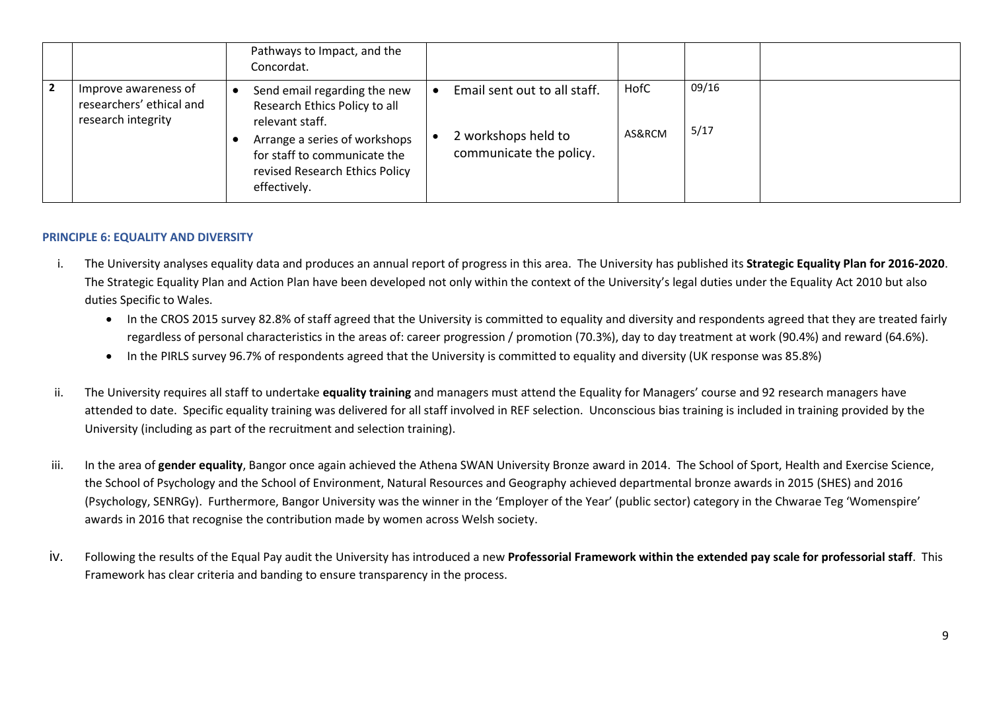|                                                                        | Pathways to Impact, and the<br>Concordat.                                                                                                                                                           |                                                                                |                |               |  |
|------------------------------------------------------------------------|-----------------------------------------------------------------------------------------------------------------------------------------------------------------------------------------------------|--------------------------------------------------------------------------------|----------------|---------------|--|
| Improve awareness of<br>researchers' ethical and<br>research integrity | Send email regarding the new<br>Research Ethics Policy to all<br>relevant staff.<br>Arrange a series of workshops<br>for staff to communicate the<br>revised Research Ethics Policy<br>effectively. | Email sent out to all staff.<br>2 workshops held to<br>communicate the policy. | HofC<br>AS&RCM | 09/16<br>5/17 |  |

# **PRINCIPLE 6: EQUALITY AND DIVERSITY**

- i. The University analyses equality data and produces an annual report of progress in this area. The University has published its **Strategic Equality Plan for 2016-2020**. The Strategic Equality Plan and Action Plan have been developed not only within the context of the University's legal duties under the Equality Act 2010 but also duties Specific to Wales.
	- In the CROS 2015 survey 82.8% of staff agreed that the University is committed to equality and diversity and respondents agreed that they are treated fairly regardless of personal characteristics in the areas of: career progression / promotion (70.3%), day to day treatment at work (90.4%) and reward (64.6%).
	- In the PIRLS survey 96.7% of respondents agreed that the University is committed to equality and diversity (UK response was 85.8%)
- ii. The University requires all staff to undertake **equality training** and managers must attend the Equality for Managers' course and 92 research managers have attended to date. Specific equality training was delivered for all staff involved in REF selection. Unconscious bias training is included in training provided by the University (including as part of the recruitment and selection training).
- iii. In the area of **gender equality**, Bangor once again achieved the Athena SWAN University Bronze award in 2014. The School of Sport, Health and Exercise Science, the School of Psychology and the School of Environment, Natural Resources and Geography achieved departmental bronze awards in 2015 (SHES) and 2016 (Psychology, SENRGy). Furthermore, Bangor University was the winner in the 'Employer of the Year' (public sector) category in the Chwarae Teg 'Womenspire' awards in 2016 that recognise the contribution made by women across Welsh society.
- iv. Following the results of the Equal Pay audit the University has introduced a new **Professorial Framework within the extended pay scale for professorial staff**. This Framework has clear criteria and banding to ensure transparency in the process.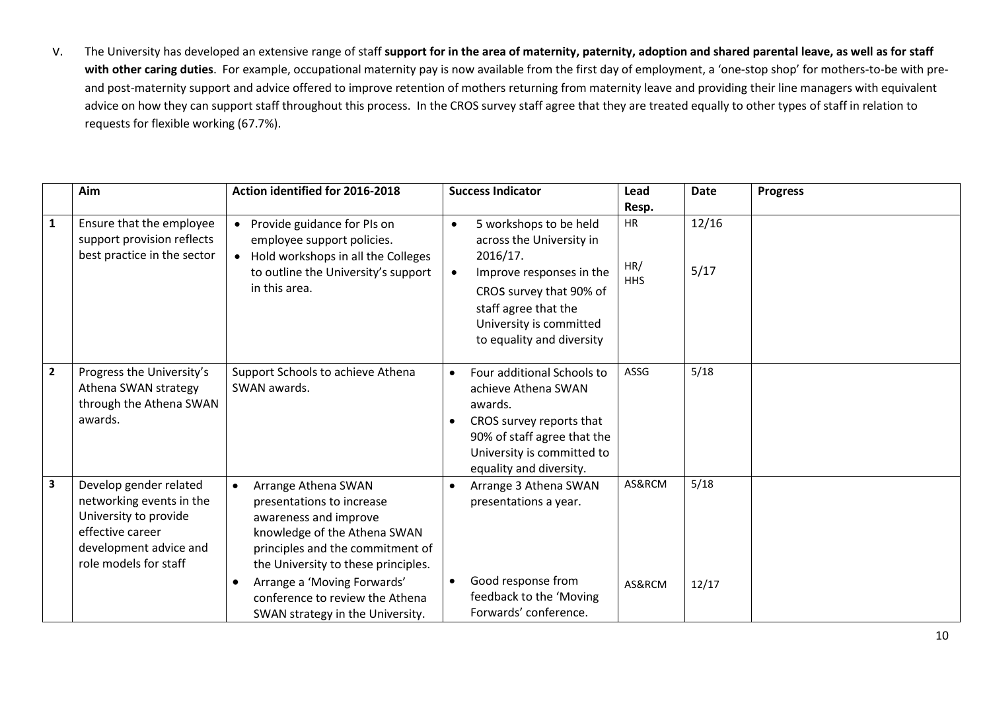v. The University has developed an extensive range of staff **support for in the area of maternity, paternity, adoption and shared parental leave, as well as for staff**  with other caring duties. For example, occupational maternity pay is now available from the first day of employment, a 'one-stop shop' for mothers-to-be with preand post-maternity support and advice offered to improve retention of mothers returning from maternity leave and providing their line managers with equivalent advice on how they can support staff throughout this process. In the CROS survey staff agree that they are treated equally to other types of staff in relation to requests for flexible working (67.7%).

|                | Aim                                                                                                                                                | Action identified for 2016-2018                                                                                                                                                                                                                                                                         |                        | <b>Success Indicator</b>                                                                                                                                                                              | Lead<br>Resp.           | <b>Date</b>   | <b>Progress</b> |
|----------------|----------------------------------------------------------------------------------------------------------------------------------------------------|---------------------------------------------------------------------------------------------------------------------------------------------------------------------------------------------------------------------------------------------------------------------------------------------------------|------------------------|-------------------------------------------------------------------------------------------------------------------------------------------------------------------------------------------------------|-------------------------|---------------|-----------------|
| $\mathbf{1}$   | Ensure that the employee<br>support provision reflects<br>best practice in the sector                                                              | • Provide guidance for PIs on<br>employee support policies.<br>• Hold workshops in all the Colleges<br>to outline the University's support<br>in this area.                                                                                                                                             | $\bullet$              | 5 workshops to be held<br>across the University in<br>2016/17.<br>Improve responses in the<br>CROS survey that 90% of<br>staff agree that the<br>University is committed<br>to equality and diversity | HR<br>HR/<br><b>HHS</b> | 12/16<br>5/17 |                 |
| $\overline{2}$ | Progress the University's<br>Athena SWAN strategy<br>through the Athena SWAN<br>awards.                                                            | Support Schools to achieve Athena<br>SWAN awards.                                                                                                                                                                                                                                                       | $\bullet$<br>$\bullet$ | Four additional Schools to<br>achieve Athena SWAN<br>awards.<br>CROS survey reports that<br>90% of staff agree that the<br>University is committed to<br>equality and diversity.                      | ASSG                    | 5/18          |                 |
| 3              | Develop gender related<br>networking events in the<br>University to provide<br>effective career<br>development advice and<br>role models for staff | Arrange Athena SWAN<br>$\bullet$<br>presentations to increase<br>awareness and improve<br>knowledge of the Athena SWAN<br>principles and the commitment of<br>the University to these principles.<br>Arrange a 'Moving Forwards'<br>conference to review the Athena<br>SWAN strategy in the University. | $\bullet$<br>$\bullet$ | Arrange 3 Athena SWAN<br>presentations a year.<br>Good response from<br>feedback to the 'Moving<br>Forwards' conference.                                                                              | AS&RCM<br>AS&RCM        | 5/18<br>12/17 |                 |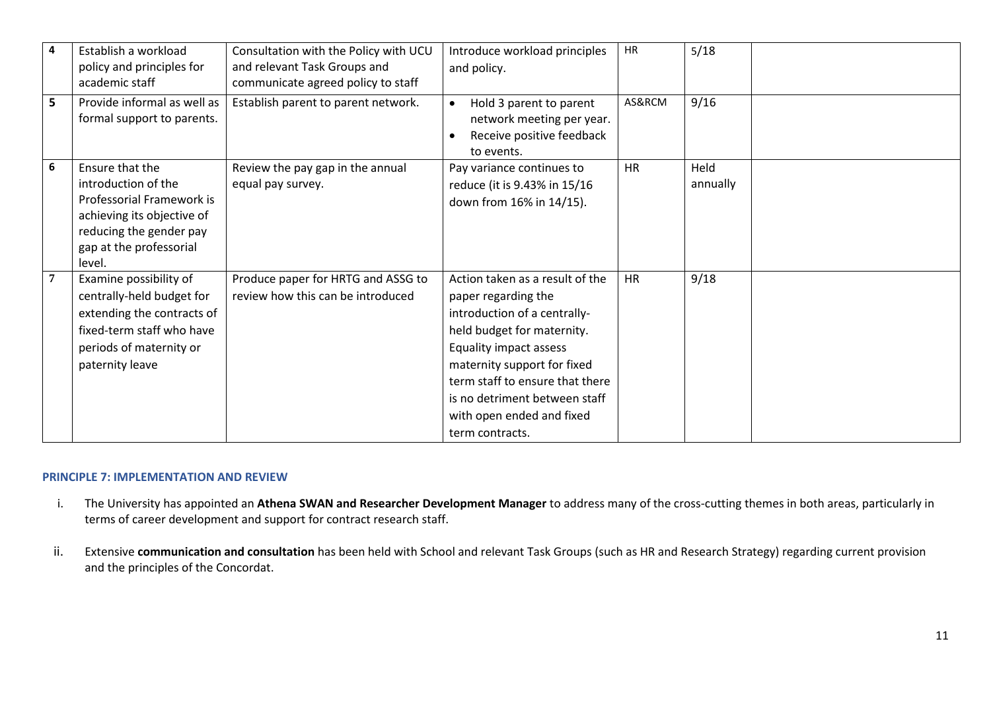| 4 | Establish a workload<br>policy and principles for<br>academic staff                                                                                               | Consultation with the Policy with UCU<br>and relevant Task Groups and<br>communicate agreed policy to staff | Introduce workload principles<br>and policy.                                                                                                                                                                                                                                                      | <b>HR</b> | 5/18             |  |
|---|-------------------------------------------------------------------------------------------------------------------------------------------------------------------|-------------------------------------------------------------------------------------------------------------|---------------------------------------------------------------------------------------------------------------------------------------------------------------------------------------------------------------------------------------------------------------------------------------------------|-----------|------------------|--|
| 5 | Provide informal as well as<br>formal support to parents.                                                                                                         | Establish parent to parent network.                                                                         | Hold 3 parent to parent<br>$\bullet$<br>network meeting per year.<br>Receive positive feedback<br>to events.                                                                                                                                                                                      | AS&RCM    | 9/16             |  |
| 6 | Ensure that the<br>introduction of the<br>Professorial Framework is<br>achieving its objective of<br>reducing the gender pay<br>gap at the professorial<br>level. | Review the pay gap in the annual<br>equal pay survey.                                                       | Pay variance continues to<br>reduce (it is 9.43% in 15/16<br>down from 16% in 14/15).                                                                                                                                                                                                             | <b>HR</b> | Held<br>annually |  |
|   | Examine possibility of<br>centrally-held budget for<br>extending the contracts of<br>fixed-term staff who have<br>periods of maternity or<br>paternity leave      | Produce paper for HRTG and ASSG to<br>review how this can be introduced                                     | Action taken as a result of the<br>paper regarding the<br>introduction of a centrally-<br>held budget for maternity.<br>Equality impact assess<br>maternity support for fixed<br>term staff to ensure that there<br>is no detriment between staff<br>with open ended and fixed<br>term contracts. | <b>HR</b> | 9/18             |  |

## **PRINCIPLE 7: IMPLEMENTATION AND REVIEW**

- i. The University has appointed an **Athena SWAN and Researcher Development Manager** to address many of the cross-cutting themes in both areas, particularly in terms of career development and support for contract research staff.
- ii. Extensive **communication and consultation** has been held with School and relevant Task Groups (such as HR and Research Strategy) regarding current provision and the principles of the Concordat.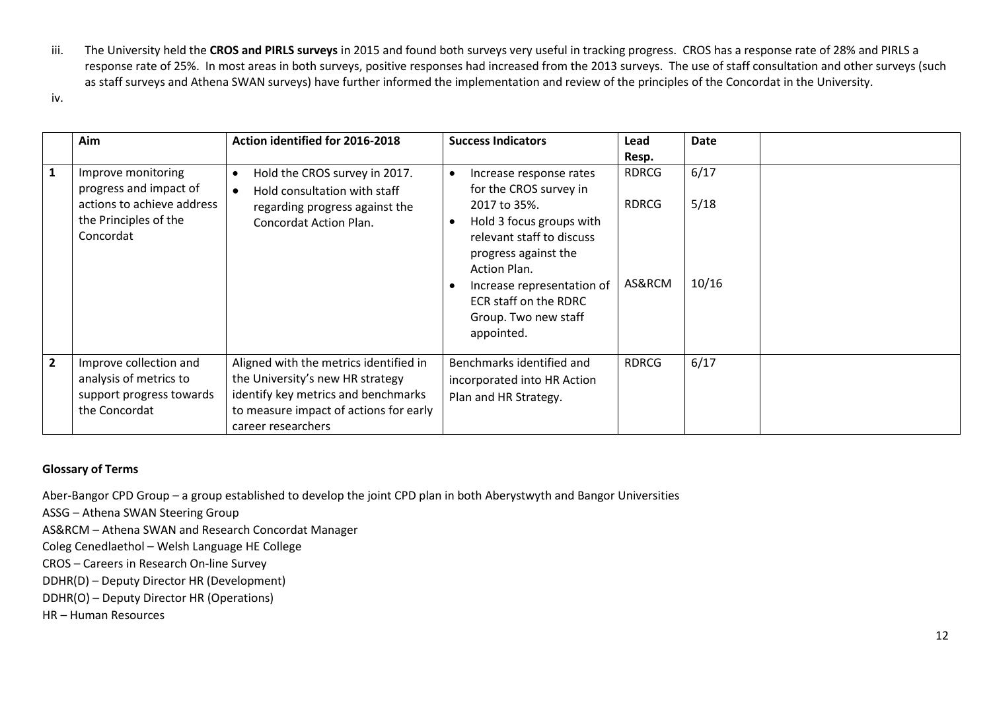- iii. The University held the **CROS and PIRLS surveys** in 2015 and found both surveys very useful in tracking progress. CROS has a response rate of 28% and PIRLS a response rate of 25%. In most areas in both surveys, positive responses had increased from the 2013 surveys. The use of staff consultation and other surveys (such as staff surveys and Athena SWAN surveys) have further informed the implementation and review of the principles of the Concordat in the University.
- iv.

|                | Aim                                                                                                              | Action identified for 2016-2018                                                                                                                                                   | <b>Success Indicators</b>                                                                                                                                                                                                                                              | Lead<br>Resp.                          | Date                  |
|----------------|------------------------------------------------------------------------------------------------------------------|-----------------------------------------------------------------------------------------------------------------------------------------------------------------------------------|------------------------------------------------------------------------------------------------------------------------------------------------------------------------------------------------------------------------------------------------------------------------|----------------------------------------|-----------------------|
| $\mathbf{1}$   | Improve monitoring<br>progress and impact of<br>actions to achieve address<br>the Principles of the<br>Concordat | Hold the CROS survey in 2017.<br>٠<br>Hold consultation with staff<br>$\bullet$<br>regarding progress against the<br>Concordat Action Plan.                                       | Increase response rates<br>for the CROS survey in<br>2017 to 35%.<br>Hold 3 focus groups with<br>relevant staff to discuss<br>progress against the<br>Action Plan.<br>Increase representation of<br><b>ECR staff on the RDRC</b><br>Group. Two new staff<br>appointed. | <b>RDRCG</b><br><b>RDRCG</b><br>AS&RCM | 6/17<br>5/18<br>10/16 |
| $\overline{2}$ | Improve collection and<br>analysis of metrics to<br>support progress towards<br>the Concordat                    | Aligned with the metrics identified in<br>the University's new HR strategy<br>identify key metrics and benchmarks<br>to measure impact of actions for early<br>career researchers | Benchmarks identified and<br>incorporated into HR Action<br>Plan and HR Strategy.                                                                                                                                                                                      | <b>RDRCG</b>                           | 6/17                  |

# **Glossary of Terms**

Aber-Bangor CPD Group – a group established to develop the joint CPD plan in both Aberystwyth and Bangor Universities

ASSG – Athena SWAN Steering Group

AS&RCM – Athena SWAN and Research Concordat Manager

Coleg Cenedlaethol – Welsh Language HE College

CROS – Careers in Research On-line Survey

DDHR(D) – Deputy Director HR (Development)

DDHR(O) – Deputy Director HR (Operations)

HR – Human Resources